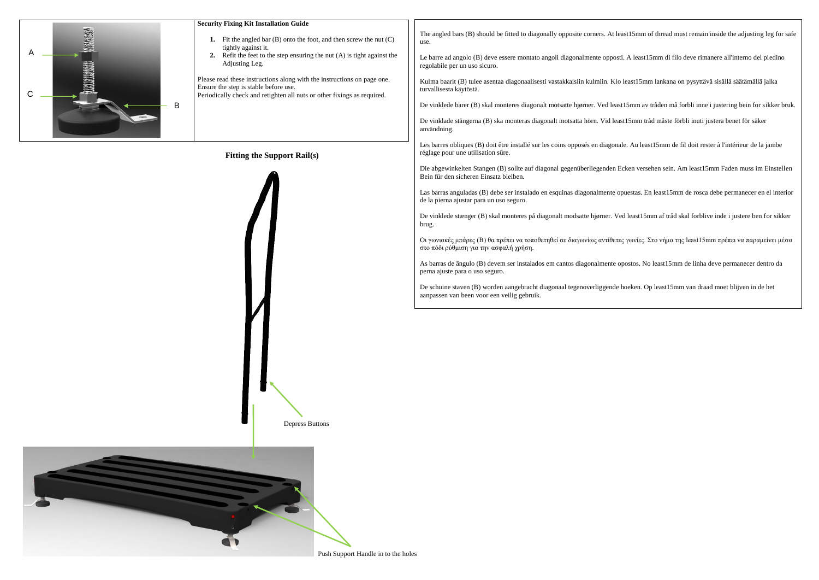**Fitting the Support Rail(s)**



Push Support Handle in to the holes



The angled bars (B) should be fitted to diagonally opposite corners. At least15mm of thread must remain inside the adjusting leg for safe Le barre ad angolo (B) deve essere montato angoli diagonalmente opposti. A least15mm di filo deve rimanere all'interno del piedino Kulma baarit (B) tulee asentaa diagonaalisesti vastakkaisiin kulmiin. Klo least15mm lankana on pysyttävä sisällä säätämällä jalka De vinklede barer (B) skal monteres diagonalt motsatte hjørner. Ved least15mm av tråden må forbli inne i justering bein for sikker bruk. De vinklade stängerna (B) ska monteras diagonalt motsatta hörn. Vid least15mm tråd måste förbli inuti justera benet för säker Les barres obliques (B) doit être installé sur les coins opposés en diagonale. Au least15mm de fil doit rester à l'intérieur de la jambe réglage pour une utilisation sûre. Die abgewinkelten Stangen (B) sollte auf diagonal gegenüberliegenden Ecken versehen sein. Am least15mm Faden muss im Einstellen Bein für den sicheren Einsatz bleiben. Las barras anguladas (B) debe ser instalado en esquinas diagonalmente opuestas. En least15mm de rosca debe permanecer en el interior de la pierna ajustar para un uso seguro. De vinklede stænger (B) skal monteres på diagonalt modsatte hjørner. Ved least15mm af tråd skal forblive inde i justere ben for sikker brug. Οι γωνιακές μπάρες (Β) θα πρέπει να τοποθετηθεί σε διαγωνίως αντίθετες γωνίες. Στο νήμα της least15mm πρέπει να παραμείνει μέσα στο πόδι ρύθμιση για την ασφαλή χρήση. As barras de ângulo (B) devem ser instalados em cantos diagonalmente opostos. No least15mm de linha deve permanecer dentro da perna ajuste para o uso seguro. De schuine staven (B) worden aangebracht diagonaal tegenoverliggende hoeken. Op least15mm van draad moet blijven in de het

aanpassen van been voor een veilig gebruik.